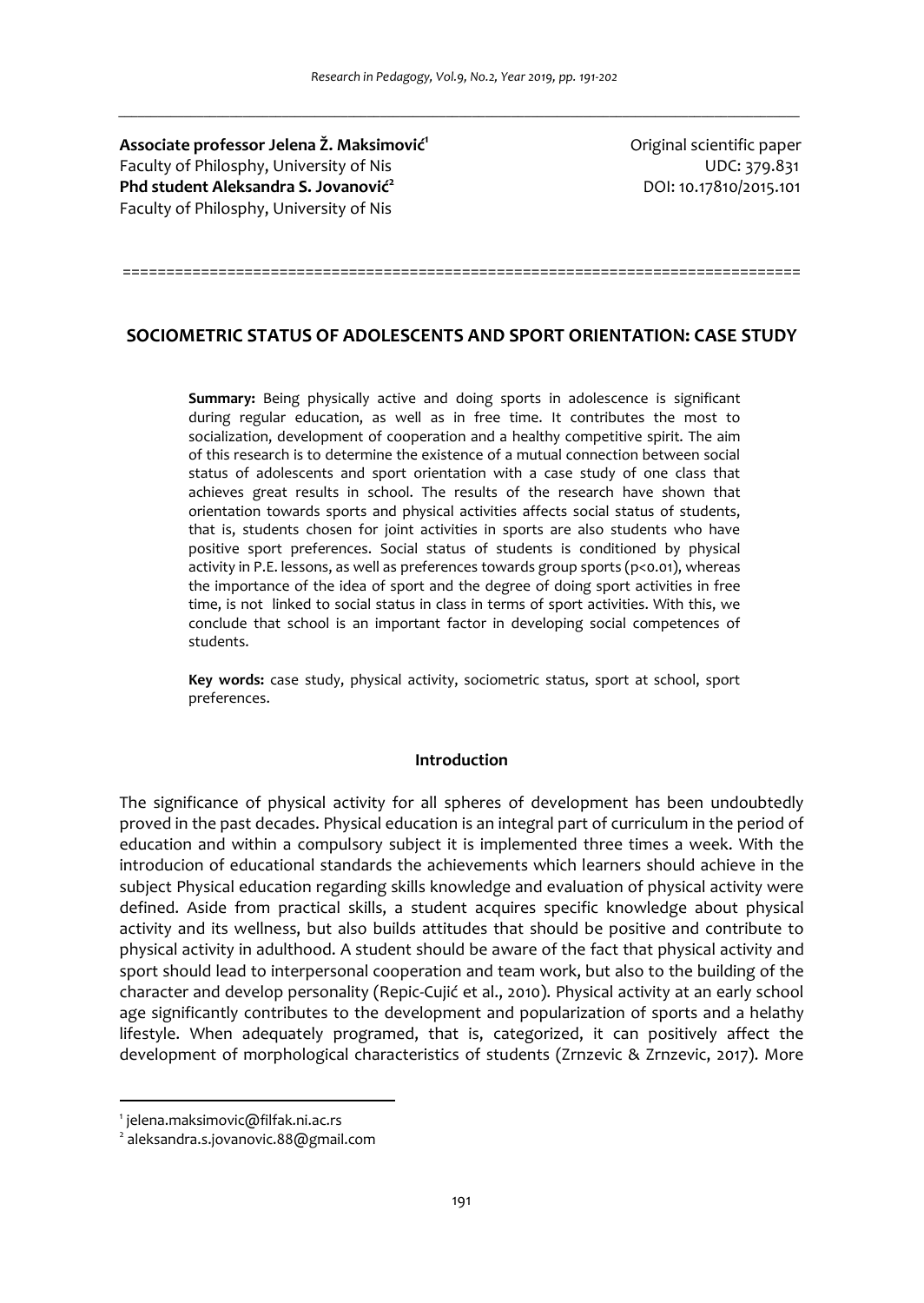**Associate professor Jelena Ž. Maksimović<sup>1</sup>** Faculty of Philosphy, University of Nis UDC: 379.831 **Phd student Aleksandra S. Jovanović<sup>2</sup>** Faculty of Philosphy, University of Nis

Original scientific paper DOI: 10.17810/2015.101

# **SOCIOMETRIC STATUS OF ADOLESCENTS AND SPORT ORIENTATION: CASE STUDY**

==============================================================================

**Summary:** Being physically active and doing sports in adolescence is significant during regular education, as well as in free time. It contributes the most to socialization, development of cooperation and a healthy competitive spirit. The aim of this research is to determine the existence of a mutual connection between social status of adolescents and sport orientation with a case study of one class that achieves great results in school. The results of the research have shown that orientation towards sports and physical activities affects social status of students, that is, students chosen for joint activities in sports are also students who have positive sport preferences. Social status of students is conditioned by physical activity in P.E. lessons, as well as preferences towards group sports (p<0.01), whereas the importance of the idea of sport and the degree of doing sport activities in free time, is not linked to social status in class in terms of sport activities. With this, we conclude that school is an important factor in developing social competences of students.

**Key words:** case study, physical activity, sоciometric status, sport at school, sport preferences.

#### **Introduction**

The significance of physical activity for all spheres of development has been undoubtedly proved in the past decades. Physical education is an integral part of curriculum in the period of education and within a compulsory subject it is implemented three times a week. With the introducion of educational standards the achievements which learners should achieve in the subject Physical education regarding skills knowledge and evaluation of physical activity were defined. Aside from practical skills, a student acquires specific knowledge about physical activity and its wellness, but also builds attitudes that should be positive and contribute to physical activity in adulthood. A student should be aware of the fact that physical activity and sport should lead to interpersonal cooperation and team work, but also to the building of the character and develop personality (Repic-Cujić et al., 2010). Physical activity at an early school age significantly contributes to the development and popularization of sports and a helathy lifestyle. When adequately programed, that is, categorized, it can positively affect the development of morphological characteristics of students (Zrnzevic & Zrnzevic, 2017). More

 $\overline{a}$ 

<sup>1</sup> jelena.maksimovic@filfak.ni.ac.rs

<sup>2</sup> aleksandra.s.jovanovic.88@gmail.com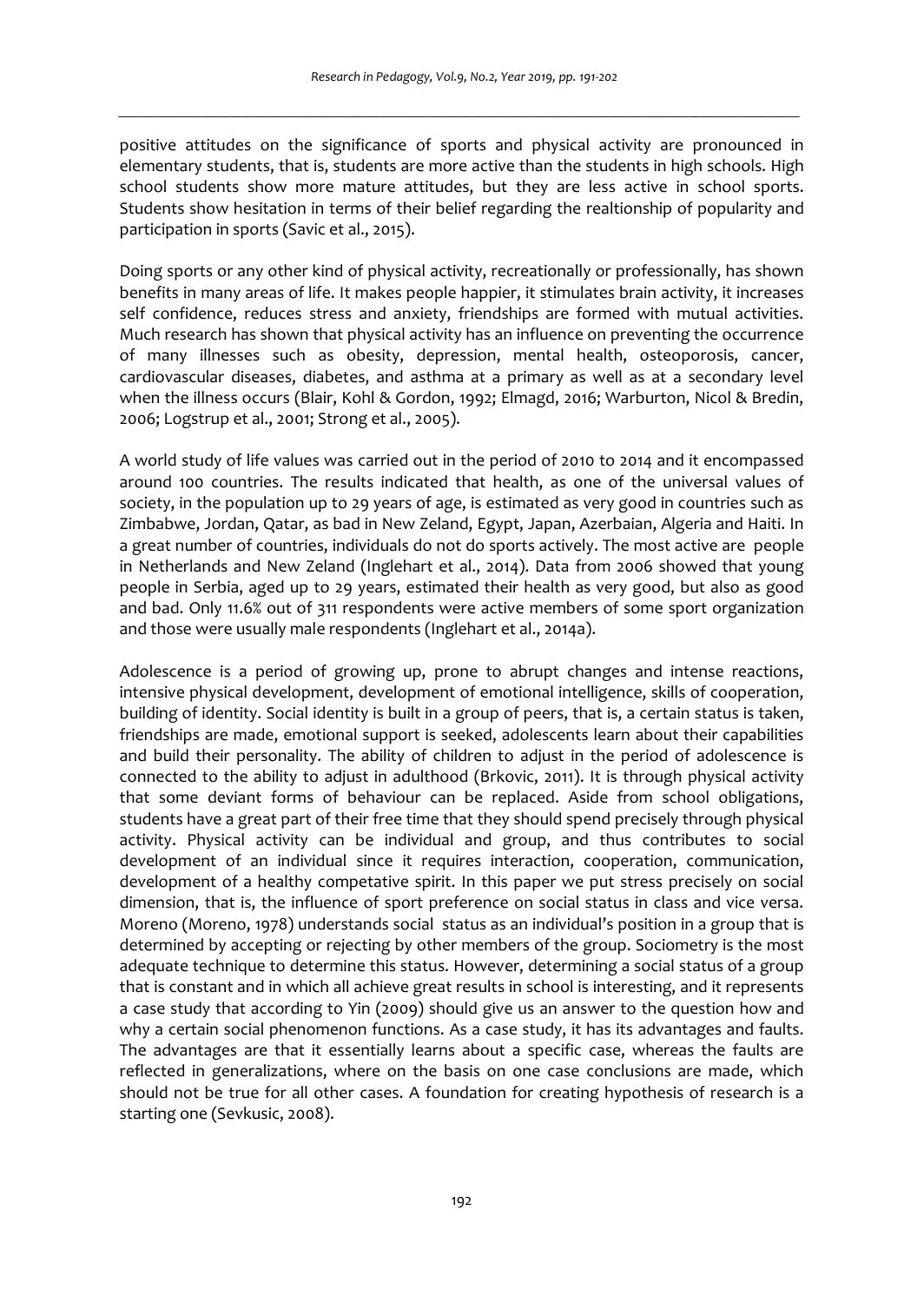positive attitudes on the significance of sports and physical activity are pronounced in elementary students, that is, students are more active than the students in high schools. High school students show more mature attitudes, but they are less active in school sports. Students show hesitation in terms of their belief regarding the realtionship of popularity and participation in sports (Savic et al., 2015).

Doing sports or any other kind of physical activity, recreationally or professionally, has shown benefits in many areas of life. It makes people happier, it stimulates brain activity, it increases self confidence, reduces stress and anxiety, friendships are formed with mutual activities. Much research has shown that physical activity has an influence on preventing the occurrence of many illnesses such as obesity, depression, mental health, osteoporosis, cancer, cardiovascular diseases, diabetes, and asthma at a primary as well as at a secondary level when the illness occurs (Blair, Kohl & Gordon, 1992; Elmagd, 2016; Warburton, Nicol & Bredin, 2006; Logstrup et al., 2001; Strong et al., 2005).

A world study of life values was carried out in the period of 2010 to 2014 and it encompassed around 100 countries. The results indicated that health, as one of the universal values of society, in the population up to 29 years of age, is estimated as very good in countries such as Zimbabwe, Jordan, Qatar, as bad in New Zeland, Egypt, Japan, Azerbaian, Algeria and Haiti. In a great number of countries, individuals do not do sports actively. The most active are people in Netherlands and New Zeland (Inglehart et al., 2014). Data from 2006 showed that young people in Serbia, aged up to 29 years, estimated their health as very good, but also as good and bad. Only 11.6% out of 311 respondents were active members of some sport organization and those were usually male respondents (Inglehart et al., 2014a).

Adolescence is a period of growing up, prone to abrupt changes and intense reactions, intensive physical development, development of emotional intelligence, skills of cooperation, building of identity. Social identity is built in a group of peers, that is, a certain status is taken, friendships are made, emotional support is seeked, adolescents learn about their capabilities and build their personality. The ability of children to adjust in the period of adolescence is connected to the ability to adjust in adulthood (Brkovic, 2011). It is through physical activity that some deviant forms of behaviour can be replaced. Aside from school obligations, students have a great part of their free time that they should spend precisely through physical activity. Physical activity can be individual and group, and thus contributes to social development of an individual since it requires interaction, cooperation, communication, development of a healthy competative spirit. In this paper we put stress precisely on social dimension, that is, the influence of sport preference on social status in class and vice versa. Moreno (Moreno, 1978) understands social status as an individual's position in a group that is determined by accepting or rejecting by other members of the group. Sociometry is the most adequate technique to determine this status. However, determining a social status of a group that is constant and in which all achieve great results in school is interesting, and it represents a case study that according to Yin (2009) should give us an answer to the question how and why a certain social phenomenon functions. As a case study, it has its advantages and faults. The advantages are that it essentially learns about a specific case, whereas the faults are reflected in generalizations, where on the basis on one case conclusions are made, which should not be true for all other cases. A foundation for creating hypothesis of research is a starting one (Sevkusic, 2008).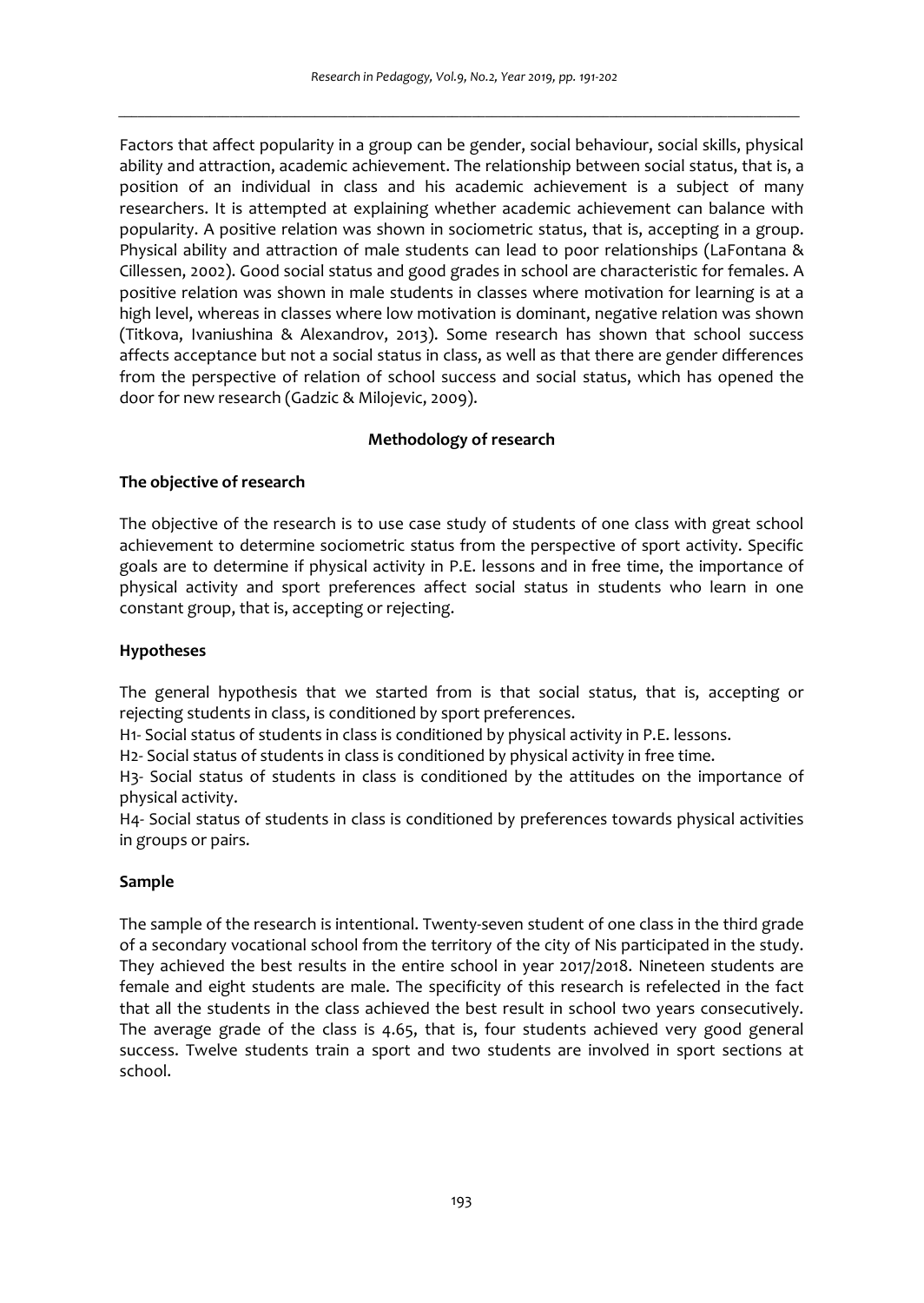Factors that affect popularity in a group can be gender, social behaviour, social skills, physical ability and attraction, academic achievement. The relationship between social status, that is, a position of an individual in class and his academic achievement is a subject of many researchers. It is attempted at explaining whether academic achievement can balance with popularity. A positive relation was shown in sociometric status, that is, accepting in a group. Physical ability and attraction of male students can lead to poor relationships (LaFontana & Cillessen, 2002). Good social status and good grades in school are characteristic for females. A positive relation was shown in male students in classes where motivation for learning is at a high level, whereas in classes where low motivation is dominant, negative relation was shown (Titkova, Ivaniushina & Alexandrov, 2013). Some research has shown that school success affects acceptance but not a social status in class, as well as that there are gender differences from the perspective of relation of school success and social status, which has opened the door for new research (Gadzic & Milojevic, 2009).

# **Methodology of research**

# **The objective of research**

The objective of the research is to use case study of students of one class with great school achievement to determine sociometric status from the perspective of sport activity. Specific goals are to determine if physical activity in P.E. lessons and in free time, the importance of physical activity and sport preferences affect social status in students who learn in one constant group, that is, accepting or rejecting.

# **Hypotheses**

The general hypothesis that we started from is that social status, that is, accepting or rejecting students in class, is conditioned by sport preferences.

H1- Social status of students in class is conditioned by physical activity in P.E. lessons.

H2- Social status of students in class is conditioned by physical activity in free time.

H3- Social status of students in class is conditioned by the attitudes on the importance of physical activity.

H4- Social status of students in class is conditioned by preferences towards physical activities in groups or pairs.

## **Sample**

The sample of the research is intentional. Twenty-seven student of one class in the third grade of a secondary vocational school from the territory of the city of Nis participated in the study. They achieved the best results in the entire school in year 2017/2018. Nineteen students are female and eight students are male. The specificity of this research is refelected in the fact that all the students in the class achieved the best result in school two years consecutively. The average grade of the class is 4.65, that is, four students achieved very good general success. Twelve students train a sport and two students are involved in sport sections at school.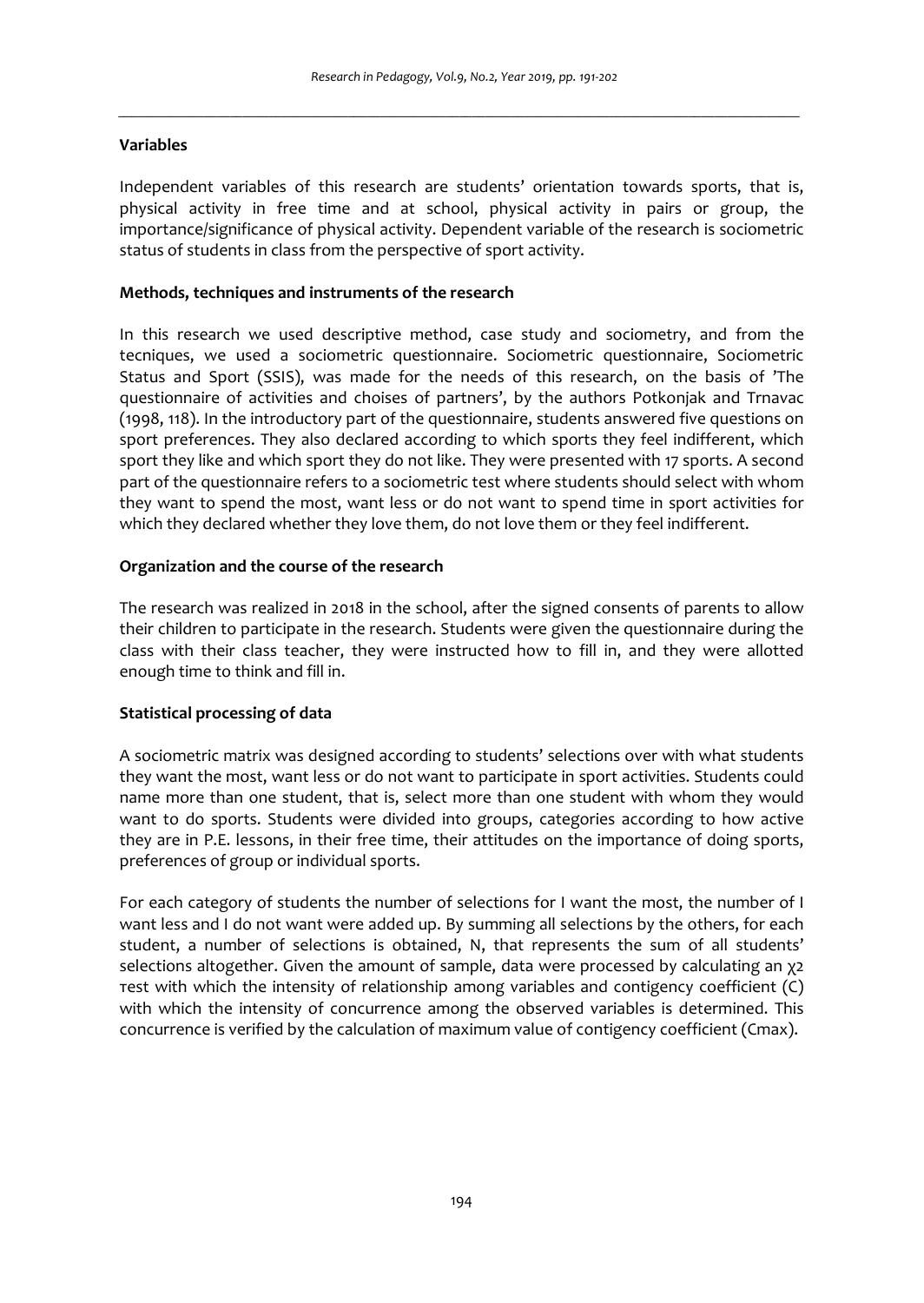#### **Variables**

Independent variables of this research are students' orientation towards sports, that is, physical activity in free time and at school, physical activity in pairs or group, the importance/significance of physical activity. Dependent variable of the research is sociometric status of students in class from the perspective of sport activity.

#### **Methods, techniques and instruments of the research**

In this research we used descriptive method, case study and sociometry, and from the tecniques, we used a sociometric questionnaire. Sociometric questionnaire, Sociometric Status and Sport (SSIS), was made for the needs of this research, on the basis of 'The questionnaire of activities and choises of partners', by the authors Potkonjak and Trnavac (1998, 118). In the introductory part of the questionnaire, students answered five questions on sport preferences. They also declared according to which sports they feel indifferent, which sport they like and which sport they do not like. They were presented with 17 sports. A second part of the questionnaire refers to a sociometric test where students should select with whom they want to spend the most, want less or do not want to spend time in sport activities for which they declared whether they love them, do not love them or they feel indifferent.

#### **Organization and the course of the research**

The research was realized in 2018 in the school, after the signed consents of parents to allow their children to participate in the research. Students were given the questionnaire during the class with their class teacher, they were instructed how to fill in, and they were allotted enough time to think and fill in.

## **Statistical processing of data**

A sociometric matrix was designed according to students' selections over with what students they want the most, want less or do not want to participate in sport activities. Students could name more than one student, that is, select more than one student with whom they would want to do sports. Students were divided into groups, categories according to how active they are in P.E. lessons, in their free time, their attitudes on the importance of doing sports, preferences of group or individual sports.

For each category of students the number of selections for I want the most, the number of I want less and I do not want were added up. By summing all selections by the others, for each student, a number of selections is obtained, N, that represents the sum of all students' selections altogether. Given the amount of sample, data were processed by calculating an χ2 теst with which the intensity of relationship among variables and contigency coefficient (C) with which the intensity of concurrence among the observed variables is determined. This concurrence is verified by the calculation of maximum value of contigency coefficient (Cmax).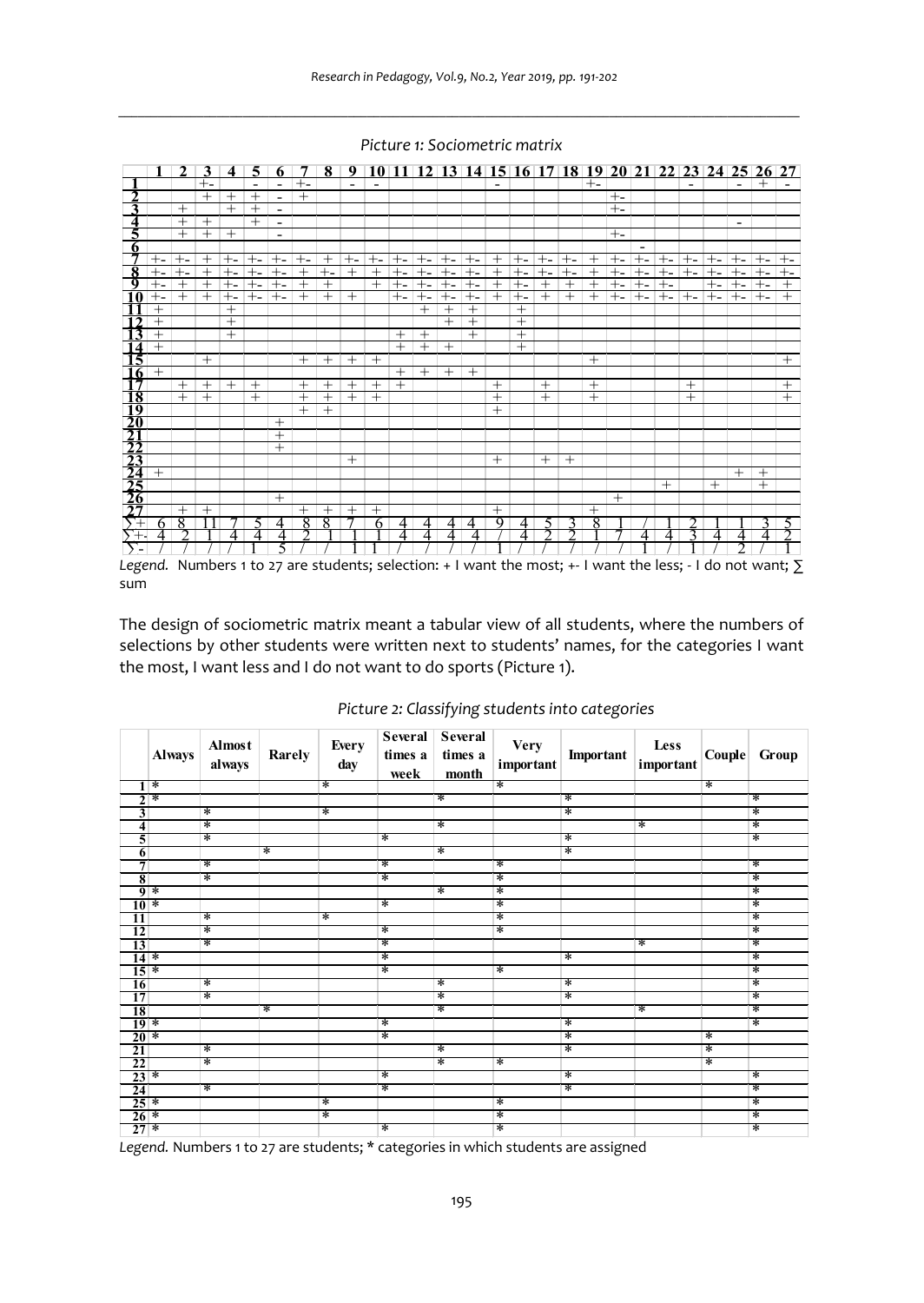|                         |              | $\mathcal{L}$ | 3              | 4      | 5      |                          | 7      |        |                |                |        |        |        |        |        |                |        |        |        |       |       |        |                |        |        | 8 9 10 11 12 13 14 15 16 17 18 19 20 21 22 23 24 25 26 27 |        |
|-------------------------|--------------|---------------|----------------|--------|--------|--------------------------|--------|--------|----------------|----------------|--------|--------|--------|--------|--------|----------------|--------|--------|--------|-------|-------|--------|----------------|--------|--------|-----------------------------------------------------------|--------|
|                         |              |               | $+ -$          |        |        | ۰                        | $+$    |        |                |                |        |        |        |        |        |                |        |        | $+$    |       |       |        |                |        |        | $^{+}$                                                    |        |
| າ                       |              |               | $^{+}$         | $^{+}$ | $^{+}$ | ۰                        | $^{+}$ |        |                |                |        |        |        |        |        |                |        |        |        | $+ -$ |       |        |                |        |        |                                                           |        |
| 3                       |              | $^{+}$        |                | $+$    | $^{+}$ | ۰                        |        |        |                |                |        |        |        |        |        |                |        |        |        | $+ -$ |       |        |                |        |        |                                                           |        |
| $\overline{\mathbf{4}}$ |              | $^{+}$        | $^{+}$         |        | $^{+}$ | ۰                        |        |        |                |                |        |        |        |        |        |                |        |        |        |       |       |        |                |        | -      |                                                           |        |
| 5                       |              | $^{+}$        | $^{+}$         | $^{+}$ |        | $\overline{\phantom{a}}$ |        |        |                |                |        |        |        |        |        |                |        |        |        | $+ -$ |       |        |                |        |        |                                                           |        |
| 6                       |              |               |                |        |        |                          |        |        |                |                |        |        |        |        |        |                |        |        |        |       |       |        |                |        |        |                                                           |        |
| 7                       | $+ -$        | $+ -$         | $^{+}$         | $+ -$  | $+ -$  | $+ -$                    | $+ -$  | $^{+}$ | $+ -$          | $+ -$          | $+ -$  | $+ -$  | $+ -$  | $+ -$  | $^{+}$ | $+ -$          | $+ -$  | $+ -$  | $^{+}$ | $+$ - | $+ -$ | $+ -$  | $+ -$          | $+ -$  | $+ -$  | $+ -$                                                     | $+ -$  |
| 8                       | ÷-           | $+ -$         | $^{+}$         | $+ -$  | ÷      | +-                       | $^{+}$ | $+ -$  | $^{+}$         | $^+$           | $+ -$  | +-     | $+ -$  | $+ -$  | $\pm$  | $+ -$          | $+ -$  | ⊕      | $^{+}$ | $+ -$ | $+ -$ | +-     | $+ -$          | $+ -$  | $+$    | $+ -$                                                     | $+ -$  |
| 9                       | $+$ -        | $^{+}$        | $^{+}$         | $+ -$  | $+ -$  | $+ -$                    | $^{+}$ | $^{+}$ |                | $^{+}$         | $+ -$  | $+ -$  | $+ -$  | $+ -$  | $^{+}$ | $+ -$          | $^{+}$ | $^{+}$ | $^{+}$ | $+ -$ | $+ -$ | $^{+}$ |                | $+ -$  | $+ -$  | $+ -$                                                     | $^{+}$ |
|                         |              | $^{+}$        | $^{+}$         | $+ -$  | $+ -$  | $+ -$                    | $^{+}$ | $^{+}$ | $^{+}$         |                | $+ -$  | $+ -$  | $+ -$  | $+ -$  | $+$    | $+ -$          | $^{+}$ | $+$    | $^{+}$ | $+ -$ | $+ -$ | $+ -$  | $+ -$          | $+ -$  | $+ -$  | $+ -$                                                     | $^{+}$ |
|                         | $^{+}$       |               |                | $^{+}$ |        |                          |        |        |                |                |        | $^{+}$ | $^{+}$ | $^{+}$ |        | $^{+}$         |        |        |        |       |       |        |                |        |        |                                                           |        |
| ำว                      | $\ddot{}$    |               |                | $^{+}$ |        |                          |        |        |                |                |        |        | $^{+}$ | $+$    |        | $\overline{+}$ |        |        |        |       |       |        |                |        |        |                                                           |        |
| 13                      | $\mathrm{+}$ |               |                | $^{+}$ |        |                          |        |        |                |                | $^{+}$ | $^{+}$ |        | $+$    |        | $^{+}$         |        |        |        |       |       |        |                |        |        |                                                           |        |
| 14                      | $^{+}$       |               |                |        |        |                          |        |        |                |                | $^{+}$ | $^{+}$ | $^{+}$ |        |        | $^{+}$         |        |        |        |       |       |        |                |        |        |                                                           |        |
| 15                      |              |               | $^{+}$         |        |        |                          | $^{+}$ | $^{+}$ | $^{+}$         | $^{+}$         |        |        |        |        |        |                |        |        | $+$    |       |       |        |                |        |        |                                                           | $^{+}$ |
| -16                     | $^{+}$       |               |                |        |        |                          |        |        |                |                | $^{+}$ | $+$    | $^{+}$ | $+$    |        |                |        |        |        |       |       |        |                |        |        |                                                           |        |
| -17                     |              | $^{+}$        | $+$            | $+$    | $^{+}$ |                          | $^{+}$ | $^{+}$ | $^{+}$         | $^{+}$         | $^{+}$ |        |        |        | $+$    |                | $^{+}$ |        | $^{+}$ |       |       |        | $^{+}$         |        |        |                                                           | $^{+}$ |
| $\overline{\bf 18}$     |              | $^{+}$        | $\overline{+}$ |        | $+$    |                          | $^{+}$ | $^{+}$ | $\overline{+}$ | $\overline{+}$ |        |        |        |        | $^{+}$ |                | $+$    |        | $^{+}$ |       |       |        | $\overline{+}$ |        |        |                                                           | $^{+}$ |
|                         |              |               |                |        |        |                          | $^{+}$ | $^{+}$ |                |                |        |        |        |        | $^{+}$ |                |        |        |        |       |       |        |                |        |        |                                                           |        |
|                         |              |               |                |        |        | $^{+}$                   |        |        |                |                |        |        |        |        |        |                |        |        |        |       |       |        |                |        |        |                                                           |        |
|                         |              |               |                |        |        | $^{+}$                   |        |        |                |                |        |        |        |        |        |                |        |        |        |       |       |        |                |        |        |                                                           |        |
|                         |              |               |                |        |        | $^{+}$                   |        |        |                |                |        |        |        |        |        |                |        |        |        |       |       |        |                |        |        |                                                           |        |
|                         |              |               |                |        |        |                          |        |        | $^{+}$         |                |        |        |        |        | $^{+}$ |                | $+$    | $^{+}$ |        |       |       |        |                |        |        |                                                           |        |
|                         | $^{+}$       |               |                |        |        |                          |        |        |                |                |        |        |        |        |        |                |        |        |        |       |       |        |                |        | $^{+}$ | $+$                                                       |        |
|                         |              |               |                |        |        |                          |        |        |                |                |        |        |        |        |        |                |        |        |        |       |       | $+$    |                | $^{+}$ |        | $+$                                                       |        |
| 120123343345            |              |               |                |        |        | $^{+}$                   |        |        |                |                |        |        |        |        |        |                |        |        |        | $+$   |       |        |                |        |        |                                                           |        |
|                         |              | $^{+}$        | $^{+}$         |        |        |                          | $^+$   | $^{+}$ | $^{+}$         | $^{+}$         |        |        |        |        | $^{+}$ |                |        |        | $^{+}$ |       |       |        |                |        |        |                                                           |        |
| $\overline{+}$          | h            | 8             |                |        |        |                          | 8      | 8      |                | 6              | 4      | 4      | 4      | 4      | Q      | 4              | ``     |        | 8      |       |       |        |                |        |        |                                                           |        |
| 77.                     |              |               |                |        | Λ      | Λ                        | ጎ      |        |                |                | Δ      | Δ      | 4      | 4      |        | Δ              |        |        |        |       |       | Λ      |                |        | 4      | Δ                                                         | ົ      |
| $\Sigma$ -              |              |               |                |        |        |                          |        |        |                |                |        |        |        |        |        |                |        |        |        |       |       |        |                |        | າ      |                                                           |        |

*\_\_\_\_\_\_\_\_\_\_\_\_\_\_\_\_\_\_\_\_\_\_\_\_\_\_\_\_\_\_\_\_\_\_\_\_\_\_\_\_\_\_\_\_\_\_\_\_\_\_\_\_\_\_\_\_\_\_\_\_\_\_\_\_\_\_\_\_\_\_\_\_\_\_\_\_\_\_\_\_\_\_\_\_\_\_\_\_\_\_\_\_\_\_\_\_\_\_\_\_\_\_\_\_ Picture 1: Sociometric matrix* 

*Legend.* Numbers 1 to 27 are students; selection: + I want the most; +- I want the less; - I do not want; ∑ sum

The design of sociometric matrix meant a tabular view of all students, where the numbers of selections by other students were written next to students' names, for the categories I want the most, I want less and I do not want to do sports (Picture 1).

|                   | <b>Always</b>   | <b>Almost</b><br>always | Rarely | Every<br>day | Several<br>times a<br>week | Several<br>times a<br>month | <b>Very</b><br>important | Important | Less<br>important | Couple | Group  |
|-------------------|-----------------|-------------------------|--------|--------------|----------------------------|-----------------------------|--------------------------|-----------|-------------------|--------|--------|
| 1                 | ∗               |                         |        | ∗            |                            |                             | ∗                        |           |                   | ¥      |        |
|                   |                 |                         |        |              |                            | ¥                           |                          | ∗         |                   |        | ¥      |
|                   | $\frac{2}{3}$ * | ₮                       |        | ∗            |                            |                             |                          | ₮         |                   |        | ¥      |
| $\frac{4}{5}$     |                 | ∗                       |        |              |                            | ¥                           |                          |           | ×                 |        | ∗      |
|                   |                 | ×                       |        |              | ∗                          |                             |                          | ∗         |                   |        | ×      |
| $\overline{6}$    |                 |                         | ₹      |              |                            | ∗                           |                          | ₮         |                   |        |        |
| $\overline{7}$    |                 | $\ast$                  |        |              | ∗                          |                             | ∗                        |           |                   |        | ¥      |
| $\bf{8}$          |                 | $\ast$                  |        |              | ¥                          |                             | ∗                        |           |                   |        | $\ast$ |
|                   | प्रक            |                         |        |              |                            | ¥                           | ₮                        |           |                   |        | ∗      |
| $10*$             |                 |                         |        |              | ∗                          |                             | ∗                        |           |                   |        | ×      |
| π                 |                 | ∗                       |        | ∗            |                            |                             | ∗                        |           |                   |        | ¥      |
| 12                |                 | ₮                       |        |              | ▼                          |                             | ₮                        |           |                   |        | ∗      |
|                   |                 | ×                       |        |              | ∗                          |                             |                          |           | ×                 |        | ×      |
| $\frac{13}{14}$ * |                 |                         |        |              | ∗                          |                             |                          | ∗         |                   |        | ∗      |
| $15*$             |                 |                         |        |              | ∗                          |                             | ∗                        |           |                   |        | ¥      |
| 16                |                 | ∗                       |        |              |                            | ×                           |                          | ∗         |                   |        | ¥      |
| $\overline{17}$   |                 | ₮                       |        |              |                            | ∗                           |                          | ₮         |                   |        | ∗      |
| 18                |                 |                         | ×      |              |                            | ×                           |                          |           | ¥                 |        | ¥      |
| $19*$             |                 |                         |        |              | $\ast$                     |                             |                          | ∗         |                   |        | $\ast$ |
| $20*$             |                 |                         |        |              | ¥                          |                             |                          | ∗         |                   | ∗      |        |
| $\frac{21}{22}$   |                 | ∗                       |        |              |                            | ¥                           |                          | ∗         |                   | ×      |        |
|                   |                 | ₮                       |        |              |                            | ¥                           | ∗                        |           |                   | ¥      |        |
| $23*$             |                 |                         |        |              | ▼                          |                             |                          | ∗         |                   |        | ¥      |
| 24                |                 | $\ast$                  |        |              | ×                          |                             |                          | ∗         |                   |        | ¥      |
| $25*$             |                 |                         |        | ∗            |                            |                             | ∗                        |           |                   |        | ∗      |
| $26*$             |                 |                         |        | ∗            |                            |                             | ∗                        |           |                   |        | ×      |
| $27*$             |                 |                         |        |              | ×                          |                             | ∗                        |           |                   |        | ¥      |

| Picture 2: Classifying students into categories |  |  |  |  |
|-------------------------------------------------|--|--|--|--|
|-------------------------------------------------|--|--|--|--|

*Legend.* Numbers 1 to 27 are students; \* categories in which students are assigned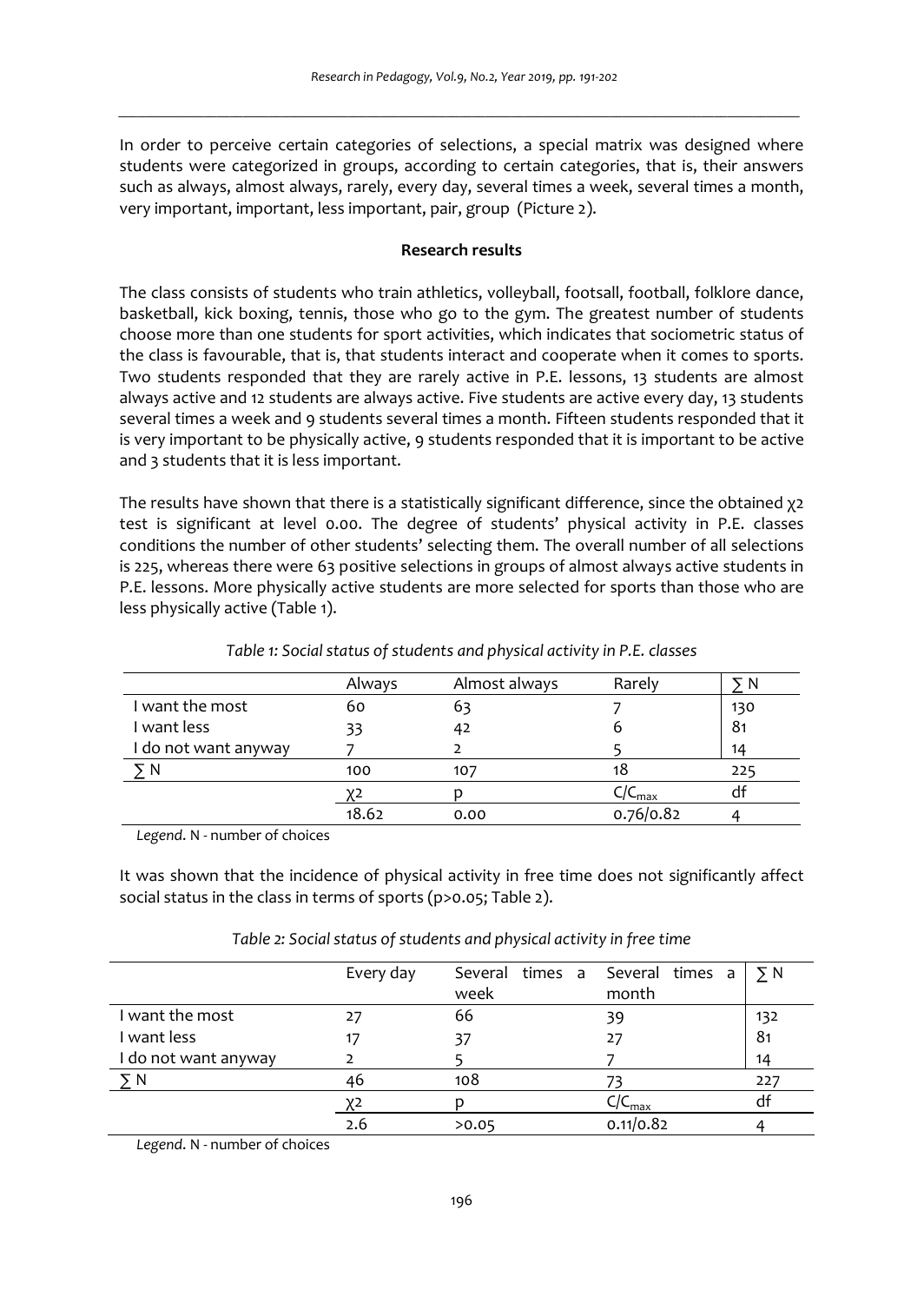In order to perceive certain categories of selections, a special matrix was designed where students were categorized in groups, according to certain categories, that is, their answers such as always, almost always, rarely, every day, several times a week, several times a month, very important, important, less important, pair, group (Picture 2).

#### **Research results**

The class consists of students who train athletics, volleyball, footsall, football, folklore dance, basketball, kick boxing, tennis, those who go to the gym. The greatest number of students choose more than one students for sport activities, which indicates that sociometric status of the class is favourable, that is, that students interact and cooperate when it comes to sports. Two students responded that they are rarely active in P.E. lessons, 13 students are almost always active and 12 students are always active. Five students are active every day, 13 students several times a week and 9 students several times a month. Fifteen students responded that it is very important to be physically active, 9 students responded that it is important to be active and 3 students that it is less important.

The results have shown that there is a statistically significant difference, since the obtained χ2 test is significant at level 0.00. The degree of students' physical activity in P.E. classes conditions the number of other students' selecting them. The overall number of all selections is 225, whereas there were 63 positive selections in groups of almost always active students in P.E. lessons. More physically active students are more selected for sports than those who are less physically active (Table 1).

|                      | Always | Almost always | Rarely    | N   |
|----------------------|--------|---------------|-----------|-----|
| I want the most      | 60     | 63            |           | 130 |
| I want less          | 33     | 42            | о         | 81  |
| I do not want anyway |        |               |           | 14  |
|                      | 100    | 107           | 1ŏ        | 225 |
|                      |        |               | / Smax    | αī  |
|                      | 18.62  | 0.00          | 0.76/0.82 |     |

*Table 1: Social status of students and physical activity in P.E. classes* 

*Legend*. N - number of choices

It was shown that the incidence of physical activity in free time does not significantly affect social status in the class in terms of sports (p>0.05; Table 2).

|                      | Every day | Several times a<br>week | Several times a<br>month | $\Sigma N$ |
|----------------------|-----------|-------------------------|--------------------------|------------|
| I want the most      |           | 66                      | 39                       | 132        |
| I want less          |           | 37                      | 27                       | 81         |
| I do not want anyway |           |                         |                          | 14         |
| УN                   | 46        | 108                     |                          | 227        |
|                      | χ2        |                         | $C/C_{max}$              | df         |
|                      | 2.6       | >0.05                   | 0.11/0.82                |            |

*Table 2: Social status of students and physical activity in free time* 

*Legend*. N - number of choices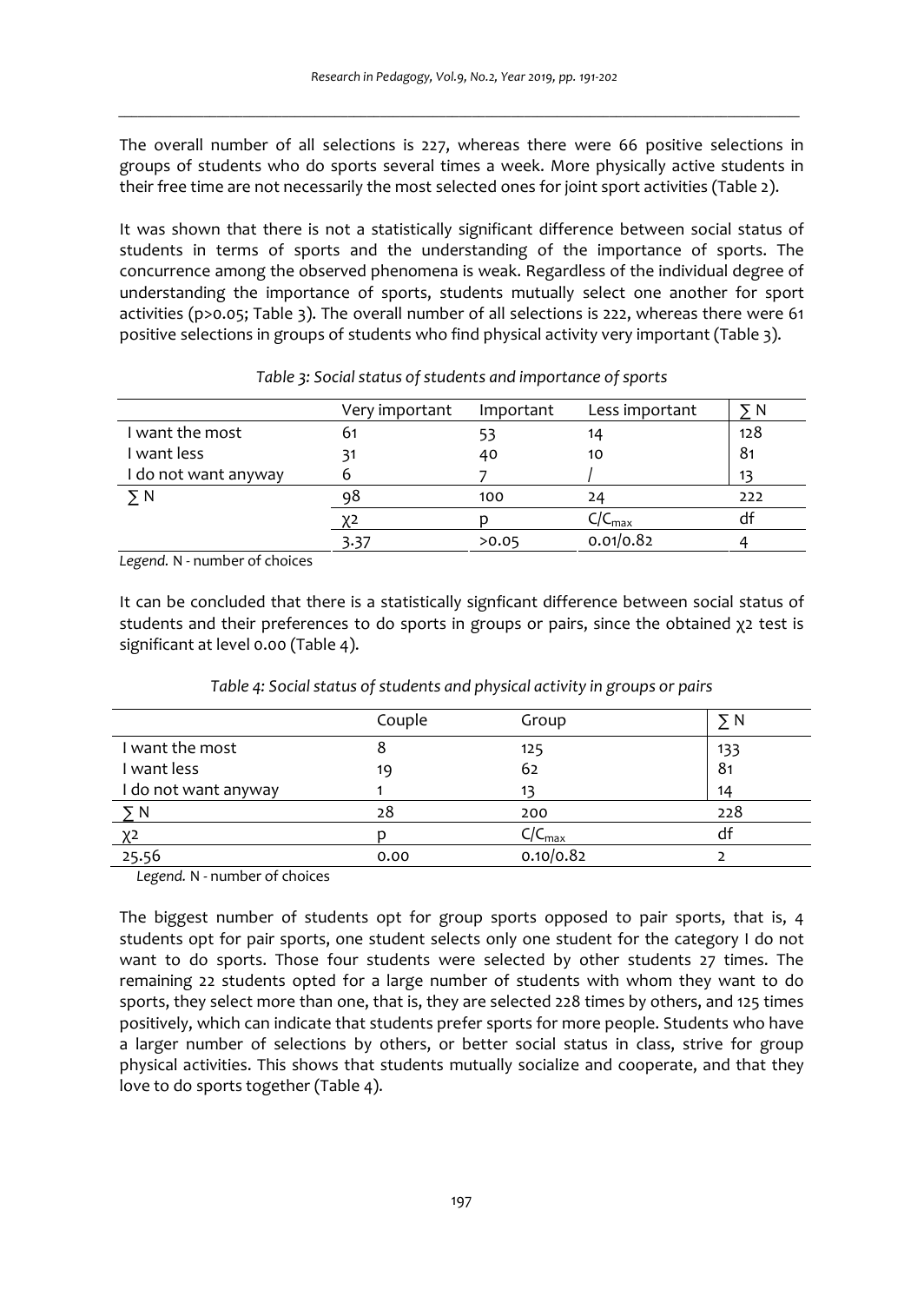The overall number of all selections is 227, whereas there were 66 positive selections in groups of students who do sports several times a week. More physically active students in their free time are not necessarily the most selected ones for joint sport activities (Table 2).

It was shown that there is not a statistically significant difference between social status of students in terms of sports and the understanding of the importance of sports. The concurrence among the observed phenomena is weak. Regardless of the individual degree of understanding the importance of sports, students mutually select one another for sport activities (p>0.05; Table 3). The overall number of all selections is 222, whereas there were 61 positive selections in groups of students who find physical activity very important (Table 3).

|                      | Very important | Important | Less important    | N   |
|----------------------|----------------|-----------|-------------------|-----|
| I want the most      | 61             | 53        | 14                | 128 |
| I want less          |                | 40        | 10                | 81  |
| I do not want anyway |                |           |                   | 13  |
| уN                   | Ω۵             | 100       | 24                | 222 |
|                      |                |           | $/C_{\text{max}}$ | aı  |
|                      | 3.37           | >0.05     | 0.01/0.82         |     |

|  |  | Table 3: Social status of students and importance of sports |  |  |
|--|--|-------------------------------------------------------------|--|--|
|--|--|-------------------------------------------------------------|--|--|

*Legend.* N - number of choices

It can be concluded that there is a statistically signficant difference between social status of students and their preferences to do sports in groups or pairs, since the obtained χ2 test is significant at level 0.00 (Table 4).

|                      | Couple | Group                   | N              |
|----------------------|--------|-------------------------|----------------|
| I want the most      |        | 125                     | 133            |
| I want less          | 19     | 62                      | 8 <sub>1</sub> |
| I do not want anyway |        | 13                      | 14             |
| ⋝N                   | 28     | 200                     | 228            |
| χ2                   |        | $C/C_{\underline{max}}$ | df             |
| 25.56                | 0.00   | 0.10/0.82               |                |

*Table 4: Social status of students and physical activity in groups or pairs* 

*Legend.* N - number of choices

The biggest number of students opt for group sports opposed to pair sports, that is, 4 students opt for pair sports, one student selects only one student for the category I do not want to do sports. Those four students were selected by other students 27 times. The remaining 22 students opted for a large number of students with whom they want to do sports, they select more than one, that is, they are selected 228 times by others, and 125 times positively, which can indicate that students prefer sports for more people. Students who have a larger number of selections by others, or better social status in class, strive for group physical activities. This shows that students mutually socialize and cooperate, and that they love to do sports together (Table 4).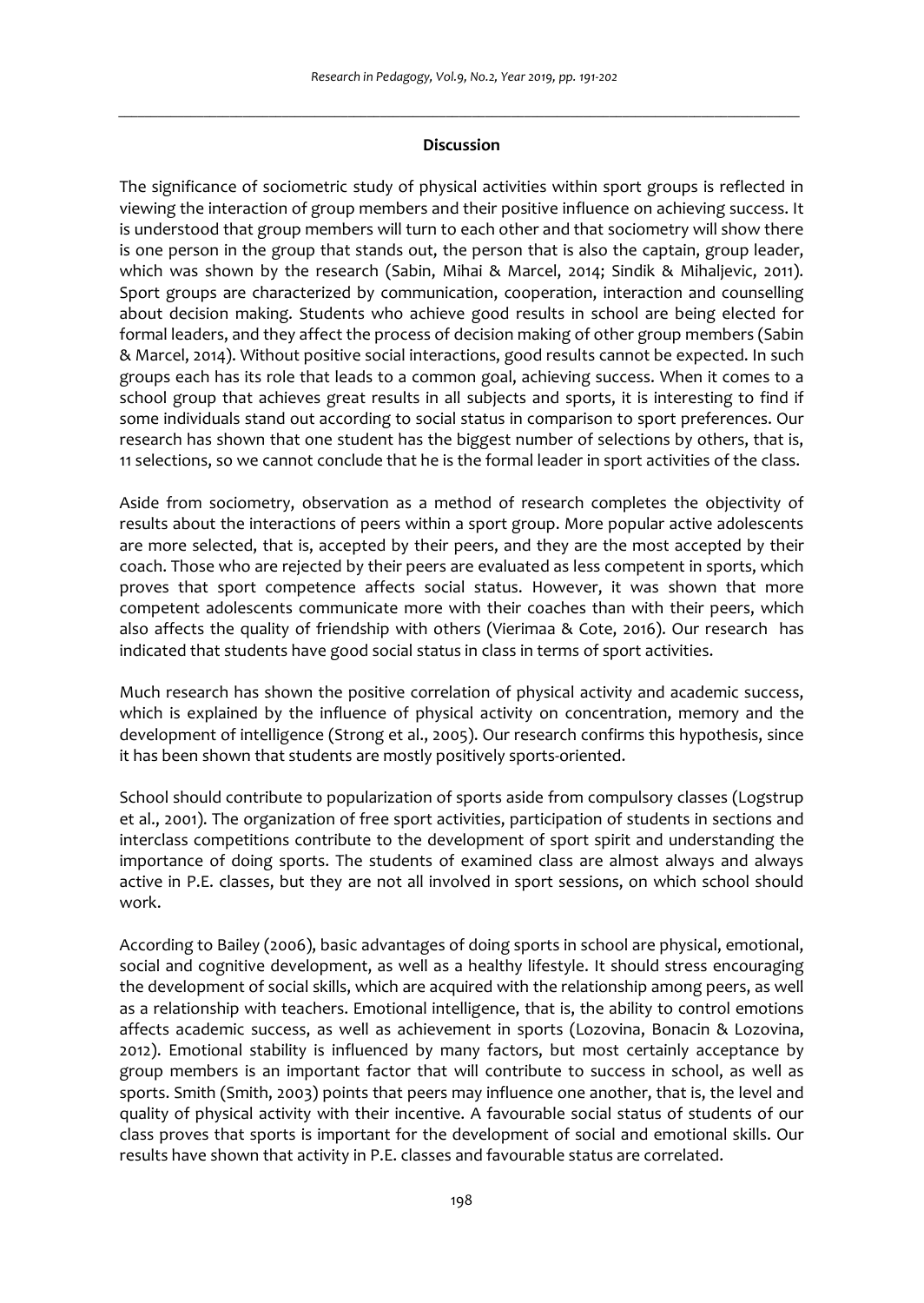# *\_\_\_\_\_\_\_\_\_\_\_\_\_\_\_\_\_\_\_\_\_\_\_\_\_\_\_\_\_\_\_\_\_\_\_\_\_\_\_\_\_\_\_\_\_\_\_\_\_\_\_\_\_\_\_\_\_\_\_\_\_\_\_\_\_\_\_\_\_\_\_\_\_\_\_\_\_\_\_\_\_\_\_\_\_\_\_\_\_\_\_\_\_\_\_\_\_\_\_\_\_\_\_\_* **Discussion**

The significance of sociometric study of physical activities within sport groups is reflected in viewing the interaction of group members and their positive influence on achieving success. It is understood that group members will turn to each other and that sociometry will show there is one person in the group that stands out, the person that is also the captain, group leader, which was shown by the research (Sabin, Mihai & Marcel, 2014; Sindik & Mihaljevic, 2011). Sport groups are characterized by communication, cooperation, interaction and counselling about decision making. Students who achieve good results in school are being elected for formal leaders, and they affect the process of decision making of other group members (Sabin & Marcel, 2014). Without positive social interactions, good results cannot be expected. In such groups each has its role that leads to a common goal, achieving success. When it comes to a school group that achieves great results in all subjects and sports, it is interesting to find if some individuals stand out according to social status in comparison to sport preferences. Our research has shown that one student has the biggest number of selections by others, that is, 11 selections, so we cannot conclude that he is the formal leader in sport activities of the class.

Aside from sociometry, observation as a method of research completes the objectivity of results about the interactions of peers within a sport group. More popular active adolescents are more selected, that is, accepted by their peers, and they are the most accepted by their coach. Those who are rejected by their peers are evaluated as less competent in sports, which proves that sport competence affects social status. However, it was shown that more competent adolescents communicate more with their coaches than with their peers, which also affects the quality of friendship with others (Vierimaa & Cote, 2016). Our research has indicated that students have good social status in class in terms of sport activities.

Much research has shown the positive correlation of physical activity and academic success, which is explained by the influence of physical activity on concentration, memory and the development of intelligence (Strong et al., 2005). Our research confirms this hypothesis, since it has been shown that students are mostly positively sports-oriented.

School should contribute to popularization of sports aside from compulsory classes (Logstrup et al., 2001). The organization of free sport activities, participation of students in sections and interclass competitions contribute to the development of sport spirit and understanding the importance of doing sports. The students of examined class are almost always and always active in P.E. classes, but they are not all involved in sport sessions, on which school should work.

According to Bailey (2006), basic advantages of doing sports in school are physical, emotional, social and cognitive development, as well as a healthy lifestyle. It should stress encouraging the development of social skills, which are acquired with the relationship among peers, as well as a relationship with teachers. Emotional intelligence, that is, the ability to control emotions affects academic success, as well as achievement in sports (Lozovina, Bonacin & Lozovina, 2012). Emotional stability is influenced by many factors, but most certainly acceptance by group members is an important factor that will contribute to success in school, as well as sports. Smith (Smith, 2003) points that peers may influence one another, that is, the level and quality of physical activity with their incentive. A favourable social status of students of our class proves that sports is important for the development of social and emotional skills. Our results have shown that activity in P.E. classes and favourable status are correlated.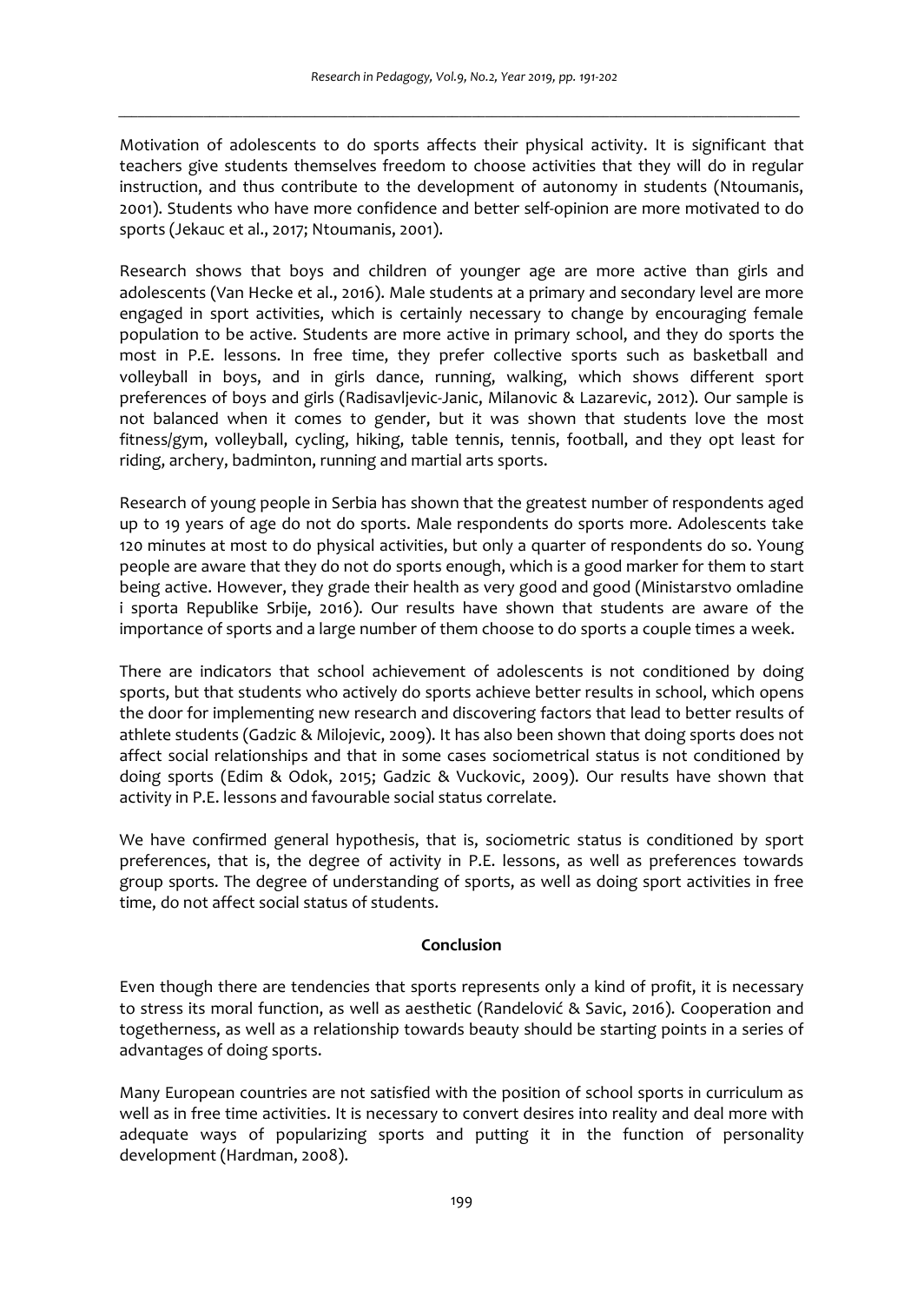Motivation of adolescents to do sports affects their physical activity. It is significant that teachers give students themselves freedom to choose activities that they will do in regular instruction, and thus contribute to the development of autonomy in students (Ntoumanis, 2001). Students who have more confidence and better self-opinion are more motivated to do sports (Jekauc et al., 2017; Ntoumanis, 2001).

Research shows that boys and children of younger age are more active than girls and adolescents (Van Hecke et al., 2016). Male students at a primary and secondary level are more engaged in sport activities, which is certainly necessary to change by encouraging female population to be active. Students are more active in primary school, and they do sports the most in P.E. lessons. In free time, they prefer collective sports such as basketball and volleyball in boys, and in girls dance, running, walking, which shows different sport preferences of boys and girls (Radisavljevic-Janic, Milanovic & Lazarevic, 2012). Our sample is not balanced when it comes to gender, but it was shown that students love the most fitness/gym, volleyball, cycling, hiking, table tennis, tennis, football, and they opt least for riding, archery, badminton, running and martial arts sports.

Research of young people in Serbia has shown that the greatest number of respondents aged up to 19 years of age do not do sports. Male respondents do sports more. Adolescents take 120 minutes at most to do physical activities, but only a quarter of respondents do so. Young people are aware that they do not do sports enough, which is a good marker for them to start being active. However, they grade their health as very good and good (Ministarstvo omladine i sporta Republike Srbije, 2016). Our results have shown that students are aware of the importance of sports and a large number of them choose to do sports a couple times a week.

There are indicators that school achievement of adolescents is not conditioned by doing sports, but that students who actively do sports achieve better results in school, which opens the door for implementing new research and discovering factors that lead to better results of athlete students (Gadzic & Milojevic, 2009). It has also been shown that doing sports does not affect social relationships and that in some cases sociometrical status is not conditioned by doing sports (Edim & Odok, 2015; Gadzic & Vuckovic, 2009). Our results have shown that activity in P.E. lessons and favourable social status correlate.

We have confirmed general hypothesis, that is, sociometric status is conditioned by sport preferences, that is, the degree of activity in P.E. lessons, as well as preferences towards group sports. The degree of understanding of sports, as well as doing sport activities in free time, do not affect social status of students.

# **Conclusion**

Even though there are tendencies that sports represents only a kind of profit, it is necessary to stress its moral function, as well as aesthetic (Randelović & Savic, 2016). Cooperation and togetherness, as well as a relationship towards beauty should be starting points in a series of advantages of doing sports.

Many European countries are not satisfied with the position of school sports in curriculum as well as in free time activities. It is necessary to convert desires into reality and deal more with adequate ways of popularizing sports and putting it in the function of personality development (Hardman, 2008).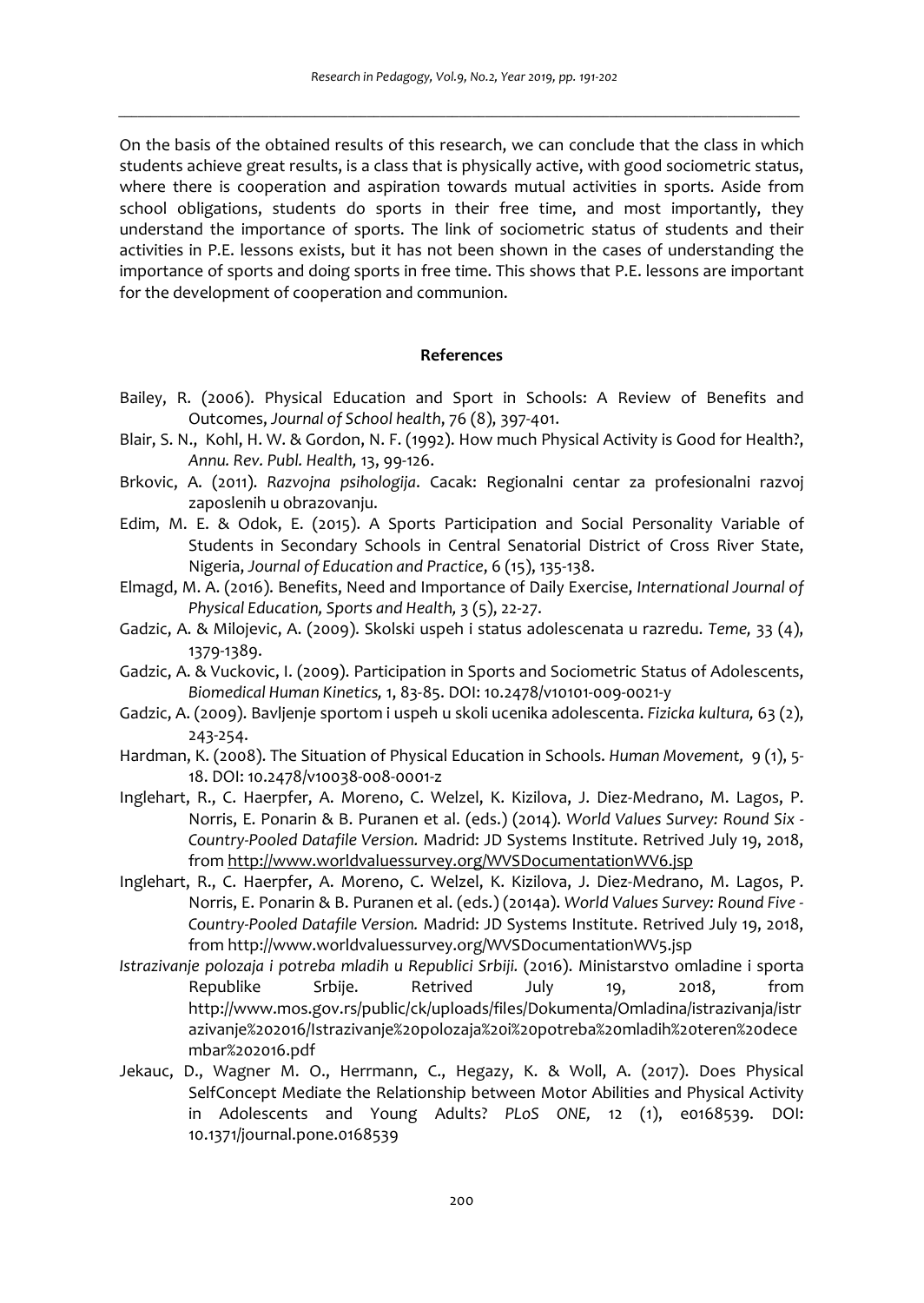On the basis of the obtained results of this research, we can conclude that the class in which students achieve great results, is a class that is physically active, with good sociometric status, where there is cooperation and aspiration towards mutual activities in sports. Aside from school obligations, students do sports in their free time, and most importantly, they understand the importance of sports. The link of sociometric status of students and their activities in P.E. lessons exists, but it has not been shown in the cases of understanding the importance of sports and doing sports in free time. This shows that P.E. lessons are important for the development of cooperation and communion.

#### **References**

- Bailey, R. (2006). Physical Education and Sport in Schools: A Review of Benefits and Outcomes, *Journal of School health*, 76 (8), 397-401.
- Blair, S. N., Kohl, H. W. & Gordon, N. F. (1992). How much Physical Activity is Good for Health?, *Annu. Rev. Publ. Health,* 13, 99-126.
- Brkovic, A. (2011). *Razvojna psihologija*. Cacak: Regionalni centar za profesionalni razvoj zaposlenih u obrazovanju.
- Edim, M. E. & Odok, E. (2015). A Sports Participation and Social Personality Variable of Students in Secondary Schools in Central Senatorial District of Cross River State, Nigeria, *Journal of Education and Practice*, 6 (15), 135-138.
- Elmagd, M. A. (2016). Benefits, Need and Importance of Daily Exercise, *International Journal of Physical Education, Sports and Health,* 3 (5), 22-27.
- Gadzic, A. & Milojevic, A. (2009). Skolski uspeh i status adolescenata u razredu. *Teme,* 33 (4), 1379-1389.
- Gadzic, A. & Vuckovic, I. (2009). Participation in Sports and Sociometric Status of Adolescents, *Biomedical Human Kinetics,* 1, 83-85. DOI: 10.2478/v10101-009-0021-y
- Gadzic, A. (2009). Bavljenje sportom i uspeh u skoli ucenika adolescenta. *Fizicka kultura,* 63 (2), 243-254.
- Hardman, K. (2008). The Situation of Physical Education in Schools. *Human Movement,* 9 (1), 5- 18. DOI: 10.2478/v10038-008-0001-z
- Inglehart, R., C. Haerpfer, A. Moreno, C. Welzel, K. Kizilova, J. Diez-Medrano, M. Lagos, P. Norris, E. Ponarin & B. Puranen et al. (eds.) (2014). *World Values Survey: Round Six - Country-Pooled Datafile Version.* Madrid: JD Systems Institute. Retrived July 19, 2018, from http://www.worldvaluessurvey.org/WVSDocumentationWV6.jsp
- Inglehart, R., C. Haerpfer, A. Moreno, C. Welzel, K. Kizilova, J. Diez-Medrano, M. Lagos, P. Norris, E. Ponarin & B. Puranen et al. (eds.) (2014a). *World Values Survey: Round Five - Country-Pooled Datafile Version.* Madrid: JD Systems Institute. Retrived July 19, 2018, from http://www.worldvaluessurvey.org/WVSDocumentationWV5.jsp
- *Istrazivanje polozaja i potreba mladih u Republici Srbiji.* (2016). Ministarstvo omladine i sporta Republike Srbije. Retrived July 19, 2018, from http://www.mos.gov.rs/public/ck/uploads/files/Dokumenta/Omladina/istrazivanja/istr azivanje%202016/Istrazivanje%20polozaja%20i%20potreba%20mladih%20teren%20dece mbar%202016.pdf
- Jekauc, D., Wagner M. O., Herrmann, C., Hegazy, K. & Woll, A. (2017). Does Physical SelfConcept Mediate the Relationship between Motor Abilities and Physical Activity in Adolescents and Young Adults? *PLoS ONE,* 12 (1), e0168539. DOI: 10.1371/journal.pone.0168539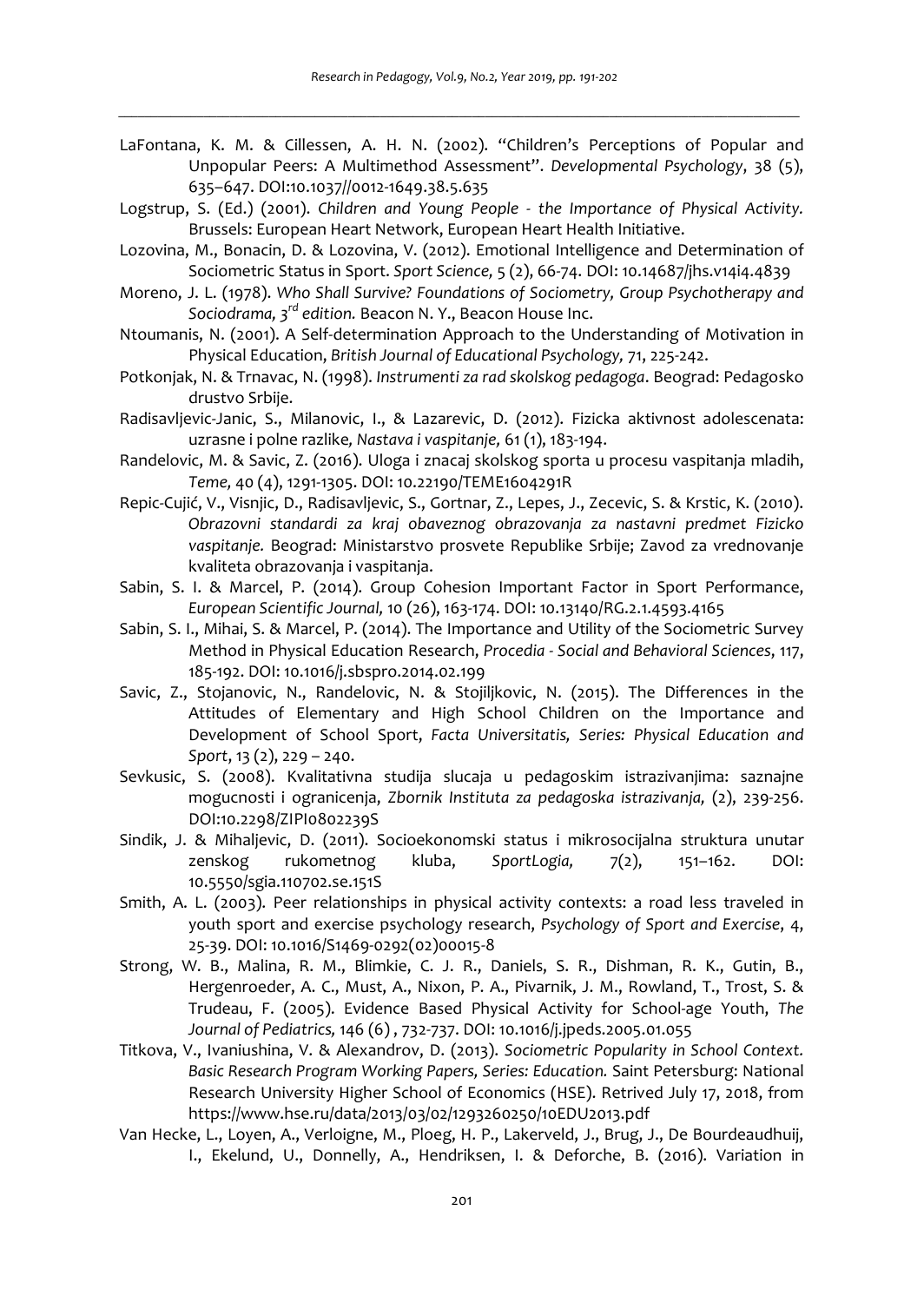- LaFontana, K. M. & Cillessen, A. H. N. (2002). "Children's Perceptions of Popular and Unpopular Peers: A Multimethod Assessment". *Developmental Psychology*, 38 (5), 635–647. DOI:10.1037//0012-1649.38.5.635
- Logstrup, S. (Ed.) (2001). *Children and Young People the Importance of Physical Activity.*  Brussels: European Heart Network, European Heart Health Initiative.
- Lozovina, M., Bonacin, D. & Lozovina, V. (2012). Emotional Intelligence and Determination of Sociometric Status in Sport. *Sport Science,* 5 (2), 66-74. DOI: 10.14687/jhs.v14i4.4839
- Moreno, J. L. (1978). *Who Shall Survive? Foundations of Sociometry, Group Psychotherapy and Sociodrama, 3rd edition.* Beacon N. Y., Beacon House Inc.
- Ntoumanis, N. (2001). A Self-determination Approach to the Understanding of Motivation in Physical Education, *British Journal of Educational Psychology,* 71, 225-242.
- Potkonjak, N. & Trnavac, N. (1998). *Instrumenti za rad skolskog pedagoga*. Beograd: Pedagosko drustvo Srbije.
- Radisavljevic-Janic, S., Milanovic, I., & Lazarevic, D. (2012). Fizicka aktivnost adolescenata: uzrasne i polne razlike*, Nastava i vaspitanje,* 61 (1), 183-194.
- Randelovic, M. & Savic, Z. (2016). Uloga i znacaj skolskog sporta u procesu vaspitanja mladih, *Teme,* 40 (4), 1291-1305. DOI: 10.22190/TEME1604291R
- Repic-Cujić, V., Visnjic, D., Radisavljevic, S., Gortnar, Z., Lepes, J., Zecevic, S. & Krstic, K. (2010). *Obrazovni standardi za kraj obaveznog obrazovanja za nastavni predmet Fizicko vaspitanje.* Beograd: Ministarstvo prosvete Republike Srbije; Zavod za vrednovanje kvaliteta obrazovanja i vaspitanja.
- Sabin, S. I. & Marcel, P. (2014). Group Cohesion Important Factor in Sport Performance, *European Scientific Journal,* 10 (26), 163-174. DOI: 10.13140/RG.2.1.4593.4165
- Sabin, S. I., Mihai, S. & Marcel, P. (2014). The Importance and Utility of the Sociometric Survey Method in Physical Education Research, *Procedia - Social and Behavioral Sciences*, 117, 185-192. DOI: 10.1016/j.sbspro.2014.02.199
- Savic, Z., Stojanovic, N., Randelovic, N. & Stojiljkovic, N. (2015). The Differences in the Attitudes of Elementary and High School Children on the Importance and Development of School Sport, *Facta Universitatis, Series: Physical Education and Sport*, 13 (2), 229 – 240.
- Sevkusic, S. (2008). Kvalitativna studija slucaja u pedagoskim istrazivanjima: saznajne mogucnosti i ogranicenja, *Zbornik Instituta za pedagoska istrazivanja,* (2), 239-256. DOI:10.2298/ZIPI0802239S
- Sindik, J. & Mihaljevic, D. (2011). Socioekonomski status i mikrosocijalna struktura unutar zenskog rukometnog kluba, *SportLogia,* 7(2), 151–162. DOI: 10.5550/sgia.110702.se.151S
- Smith, A. L. (2003). Peer relationships in physical activity contexts: a road less traveled in youth sport and exercise psychology research, *Psychology of Sport and Exercise*, 4, 25-39. DOI: 10.1016/S1469-0292(02)00015-8
- Strong, W. B., Malina, R. M., Blimkie, C. J. R., Daniels, S. R., Dishman, R. K., Gutin, B., Hergenroeder, A. C., Must, A., Nixon, P. A., Pivarnik, J. M., Rowland, T., Trost, S. & Trudeau, F. (2005). Evidence Based Physical Activity for School-age Youth, *The Journal of Pediatrics,* 146 (6) , 732-737. DOI: 10.1016/j.jpeds.2005.01.055
- Titkova, V., Ivaniushina, V. & Alexandrov, D. (2013). *Sociometric Popularity in School Context. Basic Research Program Working Papers, Series: Education.* Saint Petersburg: National Research University Higher School of Economics (HSE). Retrived July 17, 2018, from https://www.hse.ru/data/2013/03/02/1293260250/10EDU2013.pdf
- Van Hecke, L., Loyen, A., Verloigne, M., Ploeg, H. P., Lakerveld, J., Brug, J., De Bourdeaudhuij, I., Ekelund, U., Donnelly, A., Hendriksen, I. & Deforche, B. (2016). Variation in